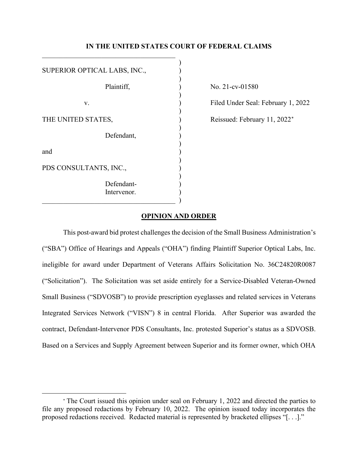# **IN THE UNITED STATES COURT OF FEDERAL CLAIMS**

| SUPERIOR OPTICAL LABS, INC., |  |
|------------------------------|--|
|                              |  |
| Plaintiff,                   |  |
| v.                           |  |
|                              |  |
| THE UNITED STATES,           |  |
| Defendant,                   |  |
| and                          |  |
| PDS CONSULTANTS, INC.,       |  |
| Defendant-                   |  |
| Intervenor.                  |  |
|                              |  |

 $\mathcal{L}_\text{max}$  and  $\mathcal{L}_\text{max}$  and  $\mathcal{L}_\text{max}$  and  $\mathcal{L}_\text{max}$ 

No. 21-cv-01580

Filed Under Seal: February 1, 2022

Reissued: February 11, 2022<sup>[∗](#page-0-0)</sup>

# **OPINION AND ORDER**

This post-award bid protest challenges the decision of the Small Business Administration's ("SBA") Office of Hearings and Appeals ("OHA") finding Plaintiff Superior Optical Labs, Inc. ineligible for award under Department of Veterans Affairs Solicitation No. 36C24820R0087 ("Solicitation"). The Solicitation was set aside entirely for a Service-Disabled Veteran-Owned Small Business ("SDVOSB") to provide prescription eyeglasses and related services in Veterans Integrated Services Network ("VISN") 8 in central Florida. After Superior was awarded the contract, Defendant-Intervenor PDS Consultants, Inc. protested Superior's status as a SDVOSB. Based on a Services and Supply Agreement between Superior and its former owner, which OHA

<span id="page-0-0"></span><sup>∗</sup> The Court issued this opinion under seal on February 1, 2022 and directed the parties to file any proposed redactions by February 10, 2022. The opinion issued today incorporates the proposed redactions received. Redacted material is represented by bracketed ellipses "[. . .]."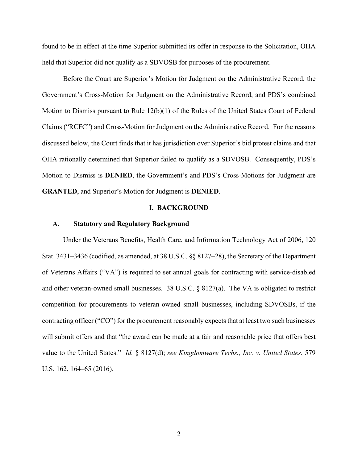found to be in effect at the time Superior submitted its offer in response to the Solicitation, OHA held that Superior did not qualify as a SDVOSB for purposes of the procurement.

Before the Court are Superior's Motion for Judgment on the Administrative Record, the Government's Cross-Motion for Judgment on the Administrative Record, and PDS's combined Motion to Dismiss pursuant to Rule 12(b)(1) of the Rules of the United States Court of Federal Claims ("RCFC") and Cross-Motion for Judgment on the Administrative Record. For the reasons discussed below, the Court finds that it has jurisdiction over Superior's bid protest claims and that OHA rationally determined that Superior failed to qualify as a SDVOSB. Consequently, PDS's Motion to Dismiss is **DENIED**, the Government's and PDS's Cross-Motions for Judgment are **GRANTED**, and Superior's Motion for Judgment is **DENIED**.

#### **I. BACKGROUND**

#### **A. Statutory and Regulatory Background**

Under the Veterans Benefits, Health Care, and Information Technology Act of 2006, 120 Stat. 3431–3436 (codified, as amended, at 38 U.S.C. §§ 8127–28), the Secretary of the Department of Veterans Affairs ("VA") is required to set annual goals for contracting with service-disabled and other veteran-owned small businesses. 38 U.S.C. § 8127(a). The VA is obligated to restrict competition for procurements to veteran-owned small businesses, including SDVOSBs, if the contracting officer ("CO") for the procurement reasonably expects that at least two such businesses will submit offers and that "the award can be made at a fair and reasonable price that offers best value to the United States." *Id.* § 8127(d); *see Kingdomware Techs., Inc. v. United States*, 579 U.S. 162, 164–65 (2016).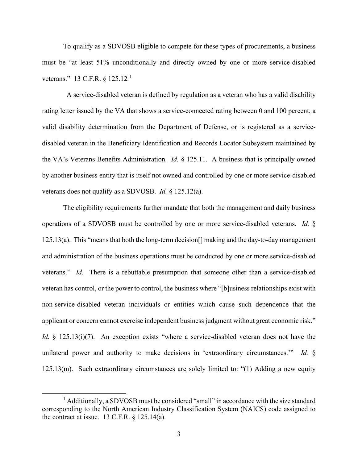To qualify as a SDVOSB eligible to compete for these types of procurements, a business must be "at least 51% unconditionally and directly owned by one or more service-disabled veterans." 13 C.F.R. § 125.12.<sup>1</sup>

A service-disabled veteran is defined by regulation as a veteran who has a valid disability rating letter issued by the VA that shows a service-connected rating between 0 and 100 percent, a valid disability determination from the Department of Defense, or is registered as a servicedisabled veteran in the Beneficiary Identification and Records Locator Subsystem maintained by the VA's Veterans Benefits Administration. *Id.* § 125.11. A business that is principally owned by another business entity that is itself not owned and controlled by one or more service-disabled veterans does not qualify as a SDVOSB. *Id.* § 125.12(a).

The eligibility requirements further mandate that both the management and daily business operations of a SDVOSB must be controlled by one or more service-disabled veterans. *Id.* § 125.13(a). This "means that both the long-term decision[] making and the day-to-day management and administration of the business operations must be conducted by one or more service-disabled veterans." *Id.* There is a rebuttable presumption that someone other than a service-disabled veteran has control, or the power to control, the business where "[b]usiness relationships exist with non-service-disabled veteran individuals or entities which cause such dependence that the applicant or concern cannot exercise independent business judgment without great economic risk." *Id.* § 125.13(i)(7). An exception exists "where a service-disabled veteran does not have the unilateral power and authority to make decisions in 'extraordinary circumstances.'" *Id.* § 125.13(m). Such extraordinary circumstances are solely limited to: "(1) Adding a new equity

 $<sup>1</sup>$  Additionally, a SDVOSB must be considered "small" in accordance with the size standard</sup> corresponding to the North American Industry Classification System (NAICS) code assigned to the contract at issue. 13 C.F.R.  $\S$  125.14(a).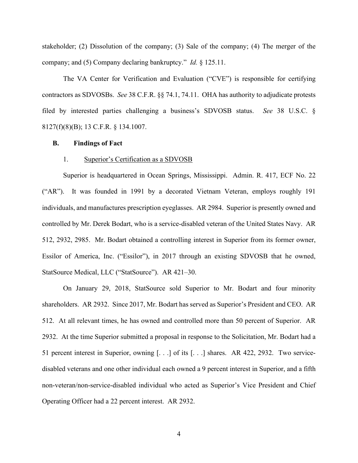stakeholder; (2) Dissolution of the company; (3) Sale of the company; (4) The merger of the company; and (5) Company declaring bankruptcy." *Id.* § 125.11.

The VA Center for Verification and Evaluation ("CVE") is responsible for certifying contractors as SDVOSBs. *See* 38 C.F.R. §§ 74.1, 74.11. OHA has authority to adjudicate protests filed by interested parties challenging a business's SDVOSB status. *See* 38 U.S.C. § 8127(f)(8)(B); 13 C.F.R. § 134.1007.

#### **B. Findings of Fact**

#### 1. Superior's Certification as a SDVOSB

Superior is headquartered in Ocean Springs, Mississippi. Admin. R. 417, ECF No. 22 ("AR"). It was founded in 1991 by a decorated Vietnam Veteran, employs roughly 191 individuals, and manufactures prescription eyeglasses. AR 2984. Superior is presently owned and controlled by Mr. Derek Bodart, who is a service-disabled veteran of the United States Navy. AR 512, 2932, 2985. Mr. Bodart obtained a controlling interest in Superior from its former owner, Essilor of America, Inc. ("Essilor"), in 2017 through an existing SDVOSB that he owned, StatSource Medical, LLC ("StatSource"). AR 421–30.

On January 29, 2018, StatSource sold Superior to Mr. Bodart and four minority shareholders. AR 2932. Since 2017, Mr. Bodart has served as Superior's President and CEO. AR 512. At all relevant times, he has owned and controlled more than 50 percent of Superior. AR 2932. At the time Superior submitted a proposal in response to the Solicitation, Mr. Bodart had a 51 percent interest in Superior, owning [. . .] of its [. . .] shares. AR 422, 2932. Two servicedisabled veterans and one other individual each owned a 9 percent interest in Superior, and a fifth non-veteran/non-service-disabled individual who acted as Superior's Vice President and Chief Operating Officer had a 22 percent interest. AR 2932.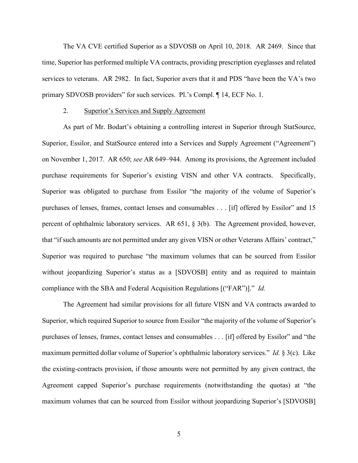The VA CVE certified Superior as a SDVOSB on April 10, 2018. AR 2469. Since that time, Superior has performed multiple VA contracts, providing prescription eyeglasses and related services to veterans. AR 2982. In fact, Superior avers that it and PDS "have been the VA's two primary SDVOSB providers" for such services. Pl.'s Compl. ¶ 14, ECF No. 1.

#### 2. Superior's Services and Supply Agreement

As part of Mr. Bodart's obtaining a controlling interest in Superior through StatSource, Superior, Essilor, and StatSource entered into a Services and Supply Agreement ("Agreement") on November 1, 2017. AR 650; *see* AR 649–944. Among its provisions, the Agreement included purchase requirements for Superior's existing VISN and other VA contracts. Specifically, Superior was obligated to purchase from Essilor "the majority of the volume of Superior's purchases of lenses, frames, contact lenses and consumables . . . [if] offered by Essilor" and 15 percent of ophthalmic laboratory services. AR 651, § 3(b). The Agreement provided, however, that "if such amounts are not permitted under any given VISN or other Veterans Affairs' contract," Superior was required to purchase "the maximum volumes that can be sourced from Essilor without jeopardizing Superior's status as a [SDVOSB] entity and as required to maintain compliance with the SBA and Federal Acquisition Regulations [("FAR")]." *Id.*

The Agreement had similar provisions for all future VISN and VA contracts awarded to Superior, which required Superior to source from Essilor "the majority of the volume of Superior's purchases of lenses, frames, contact lenses and consumables . . . [if] offered by Essilor" and "the maximum permitted dollar volume of Superior's ophthalmic laboratory services." *Id.* § 3(c). Like the existing-contracts provision, if those amounts were not permitted by any given contract, the Agreement capped Superior's purchase requirements (notwithstanding the quotas) at "the maximum volumes that can be sourced from Essilor without jeopardizing Superior's [SDVOSB]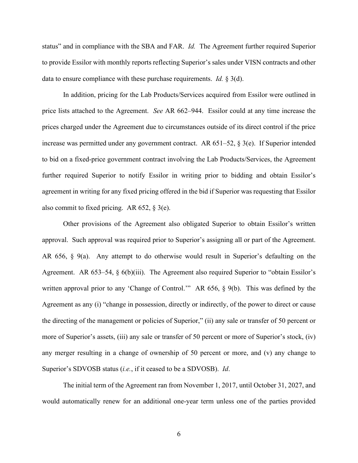status" and in compliance with the SBA and FAR. *Id.* The Agreement further required Superior to provide Essilor with monthly reports reflecting Superior's sales under VISN contracts and other data to ensure compliance with these purchase requirements. *Id.* § 3(d).

In addition, pricing for the Lab Products/Services acquired from Essilor were outlined in price lists attached to the Agreement. *See* AR 662–944. Essilor could at any time increase the prices charged under the Agreement due to circumstances outside of its direct control if the price increase was permitted under any government contract. AR  $651-52$ ,  $\S$  3(e). If Superior intended to bid on a fixed-price government contract involving the Lab Products/Services, the Agreement further required Superior to notify Essilor in writing prior to bidding and obtain Essilor's agreement in writing for any fixed pricing offered in the bid if Superior was requesting that Essilor also commit to fixed pricing. AR  $652$ ,  $\frac{1}{2}$  3(e).

Other provisions of the Agreement also obligated Superior to obtain Essilor's written approval. Such approval was required prior to Superior's assigning all or part of the Agreement. AR 656, § 9(a). Any attempt to do otherwise would result in Superior's defaulting on the Agreement. AR 653–54, § 6(b)(iii). The Agreement also required Superior to "obtain Essilor's written approval prior to any 'Change of Control.'" AR 656, § 9(b). This was defined by the Agreement as any (i) "change in possession, directly or indirectly, of the power to direct or cause the directing of the management or policies of Superior," (ii) any sale or transfer of 50 percent or more of Superior's assets, (iii) any sale or transfer of 50 percent or more of Superior's stock, (iv) any merger resulting in a change of ownership of 50 percent or more, and (v) any change to Superior's SDVOSB status (*i.e.*, if it ceased to be a SDVOSB). *Id*.

The initial term of the Agreement ran from November 1, 2017, until October 31, 2027, and would automatically renew for an additional one-year term unless one of the parties provided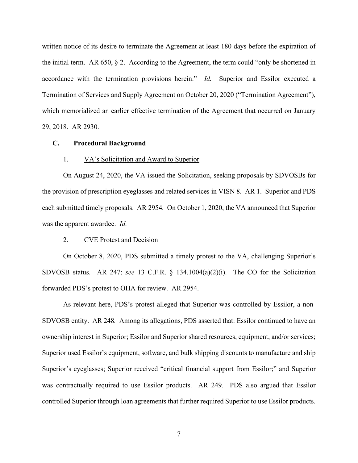written notice of its desire to terminate the Agreement at least 180 days before the expiration of the initial term. AR  $650, \, \S$  2. According to the Agreement, the term could "only be shortened in accordance with the termination provisions herein." *Id.* Superior and Essilor executed a Termination of Services and Supply Agreement on October 20, 2020 ("Termination Agreement"), which memorialized an earlier effective termination of the Agreement that occurred on January 29, 2018. AR 2930.

#### **C. Procedural Background**

# 1. VA's Solicitation and Award to Superior

On August 24, 2020, the VA issued the Solicitation, seeking proposals by SDVOSBs for the provision of prescription eyeglasses and related services in VISN 8. AR 1. Superior and PDS each submitted timely proposals. AR 2954*.* On October 1, 2020, the VA announced that Superior was the apparent awardee. *Id.*

# 2. CVE Protest and Decision

On October 8, 2020, PDS submitted a timely protest to the VA, challenging Superior's SDVOSB status. AR 247; *see* 13 C.F.R. § 134.1004(a)(2)(i). The CO for the Solicitation forwarded PDS's protest to OHA for review. AR 2954.

As relevant here, PDS's protest alleged that Superior was controlled by Essilor, a non-SDVOSB entity. AR 248*.* Among its allegations, PDS asserted that: Essilor continued to have an ownership interest in Superior; Essilor and Superior shared resources, equipment, and/or services; Superior used Essilor's equipment, software, and bulk shipping discounts to manufacture and ship Superior's eyeglasses; Superior received "critical financial support from Essilor;" and Superior was contractually required to use Essilor products. AR 249*.* PDS also argued that Essilor controlled Superior through loan agreements that further required Superior to use Essilor products.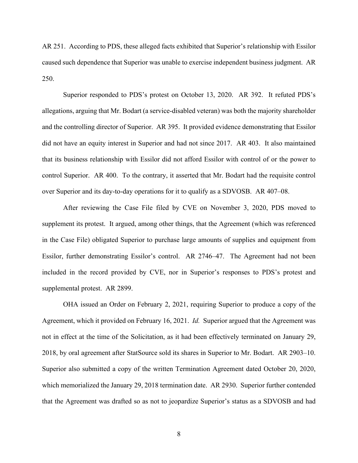AR 251. According to PDS, these alleged facts exhibited that Superior's relationship with Essilor caused such dependence that Superior was unable to exercise independent business judgment. AR 250.

Superior responded to PDS's protest on October 13, 2020. AR 392. It refuted PDS's allegations, arguing that Mr. Bodart (a service-disabled veteran) was both the majority shareholder and the controlling director of Superior. AR 395. It provided evidence demonstrating that Essilor did not have an equity interest in Superior and had not since 2017. AR 403. It also maintained that its business relationship with Essilor did not afford Essilor with control of or the power to control Superior. AR 400. To the contrary, it asserted that Mr. Bodart had the requisite control over Superior and its day-to-day operations for it to qualify as a SDVOSB. AR 407–08.

After reviewing the Case File filed by CVE on November 3, 2020, PDS moved to supplement its protest. It argued, among other things, that the Agreement (which was referenced in the Case File) obligated Superior to purchase large amounts of supplies and equipment from Essilor, further demonstrating Essilor's control. AR 2746–47. The Agreement had not been included in the record provided by CVE, nor in Superior's responses to PDS's protest and supplemental protest. AR 2899.

OHA issued an Order on February 2, 2021, requiring Superior to produce a copy of the Agreement, which it provided on February 16, 2021. *Id.* Superior argued that the Agreement was not in effect at the time of the Solicitation, as it had been effectively terminated on January 29, 2018, by oral agreement after StatSource sold its shares in Superior to Mr. Bodart. AR 2903–10. Superior also submitted a copy of the written Termination Agreement dated October 20, 2020, which memorialized the January 29, 2018 termination date. AR 2930. Superior further contended that the Agreement was drafted so as not to jeopardize Superior's status as a SDVOSB and had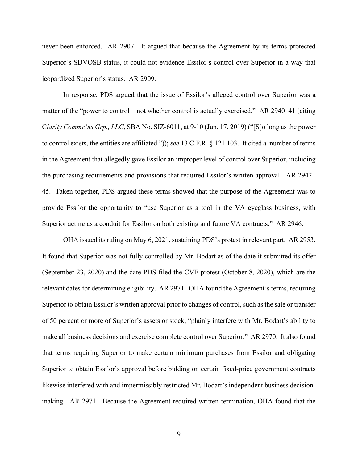never been enforced. AR 2907. It argued that because the Agreement by its terms protected Superior's SDVOSB status, it could not evidence Essilor's control over Superior in a way that jeopardized Superior's status. AR 2909.

In response, PDS argued that the issue of Essilor's alleged control over Superior was a matter of the "power to control – not whether control is actually exercised." AR 2940–41 (citing C*larity Commc'ns Grp., LLC*, SBA No. SIZ-6011, at 9-10 (Jun. 17, 2019) ("[S]o long as the power to control exists, the entities are affiliated.")); *see* 13 C.F.R. § 121.103. It cited a number of terms in the Agreement that allegedly gave Essilor an improper level of control over Superior, including the purchasing requirements and provisions that required Essilor's written approval. AR 2942– 45. Taken together, PDS argued these terms showed that the purpose of the Agreement was to provide Essilor the opportunity to "use Superior as a tool in the VA eyeglass business, with Superior acting as a conduit for Essilor on both existing and future VA contracts." AR 2946.

OHA issued its ruling on May 6, 2021, sustaining PDS's protest in relevant part. AR 2953. It found that Superior was not fully controlled by Mr. Bodart as of the date it submitted its offer (September 23, 2020) and the date PDS filed the CVE protest (October 8, 2020), which are the relevant dates for determining eligibility. AR 2971. OHA found the Agreement's terms, requiring Superior to obtain Essilor's written approval prior to changes of control, such as the sale or transfer of 50 percent or more of Superior's assets or stock, "plainly interfere with Mr. Bodart's ability to make all business decisions and exercise complete control over Superior." AR 2970. It also found that terms requiring Superior to make certain minimum purchases from Essilor and obligating Superior to obtain Essilor's approval before bidding on certain fixed-price government contracts likewise interfered with and impermissibly restricted Mr. Bodart's independent business decisionmaking. AR 2971. Because the Agreement required written termination, OHA found that the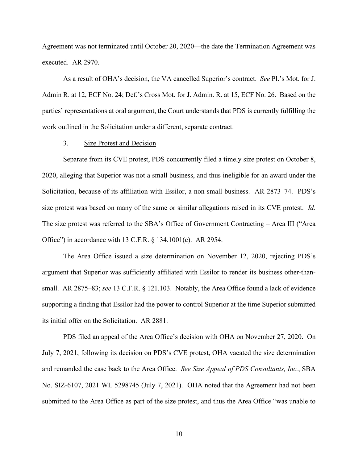Agreement was not terminated until October 20, 2020—the date the Termination Agreement was executed. AR 2970.

As a result of OHA's decision, the VA cancelled Superior's contract. *See* Pl.'s Mot. for J. Admin R. at 12, ECF No. 24; Def.'s Cross Mot. for J. Admin. R. at 15, ECF No. 26. Based on the parties' representations at oral argument, the Court understands that PDS is currently fulfilling the work outlined in the Solicitation under a different, separate contract.

# 3. Size Protest and Decision

 Separate from its CVE protest, PDS concurrently filed a timely size protest on October 8, 2020, alleging that Superior was not a small business, and thus ineligible for an award under the Solicitation, because of its affiliation with Essilor, a non-small business. AR 2873–74. PDS's size protest was based on many of the same or similar allegations raised in its CVE protest. *Id.* The size protest was referred to the SBA's Office of Government Contracting – Area III ("Area Office") in accordance with 13 C.F.R. § 134.1001(c). AR 2954.

The Area Office issued a size determination on November 12, 2020, rejecting PDS's argument that Superior was sufficiently affiliated with Essilor to render its business other-thansmall. AR 2875–83; *see* 13 C.F.R. § 121.103. Notably, the Area Office found a lack of evidence supporting a finding that Essilor had the power to control Superior at the time Superior submitted its initial offer on the Solicitation. AR 2881.

PDS filed an appeal of the Area Office's decision with OHA on November 27, 2020. On July 7, 2021, following its decision on PDS's CVE protest, OHA vacated the size determination and remanded the case back to the Area Office. *See Size Appeal of PDS Consultants, Inc.*, SBA No. SIZ-6107, 2021 WL 5298745 (July 7, 2021). OHA noted that the Agreement had not been submitted to the Area Office as part of the size protest, and thus the Area Office "was unable to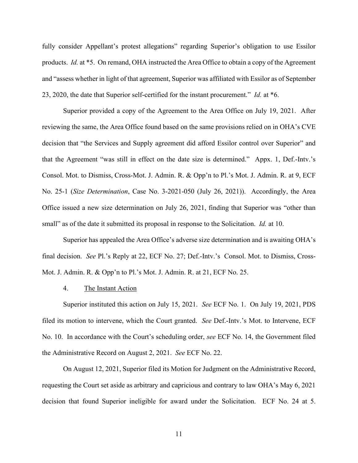fully consider Appellant's protest allegations" regarding Superior's obligation to use Essilor products. *Id.* at \*5. On remand, OHA instructed the Area Office to obtain a copy of the Agreement and "assess whether in light of that agreement, Superior was affiliated with Essilor as of September 23, 2020, the date that Superior self-certified for the instant procurement." *Id.* at \*6.

Superior provided a copy of the Agreement to the Area Office on July 19, 2021. After reviewing the same, the Area Office found based on the same provisions relied on in OHA's CVE decision that "the Services and Supply agreement did afford Essilor control over Superior" and that the Agreement "was still in effect on the date size is determined." Appx. 1, Def.-Intv.'s Consol. Mot. to Dismiss, Cross-Mot. J. Admin. R. & Opp'n to Pl.'s Mot. J. Admin. R. at 9, ECF No. 25-1 (*Size Determination*, Case No. 3-2021-050 (July 26, 2021)). Accordingly, the Area Office issued a new size determination on July 26, 2021, finding that Superior was "other than small" as of the date it submitted its proposal in response to the Solicitation. *Id.* at 10.

Superior has appealed the Area Office's adverse size determination and is awaiting OHA's final decision. *See* Pl.'s Reply at 22, ECF No. 27; Def.-Intv.'s Consol. Mot. to Dismiss, Cross-Mot. J. Admin. R. & Opp'n to Pl.'s Mot. J. Admin. R. at 21, ECF No. 25.

# 4. The Instant Action

Superior instituted this action on July 15, 2021. *See* ECF No. 1. On July 19, 2021, PDS filed its motion to intervene, which the Court granted. *See* Def.-Intv.'s Mot. to Intervene, ECF No. 10. In accordance with the Court's scheduling order, *see* ECF No. 14, the Government filed the Administrative Record on August 2, 2021. *See* ECF No. 22.

On August 12, 2021, Superior filed its Motion for Judgment on the Administrative Record, requesting the Court set aside as arbitrary and capricious and contrary to law OHA's May 6, 2021 decision that found Superior ineligible for award under the Solicitation. ECF No. 24 at 5.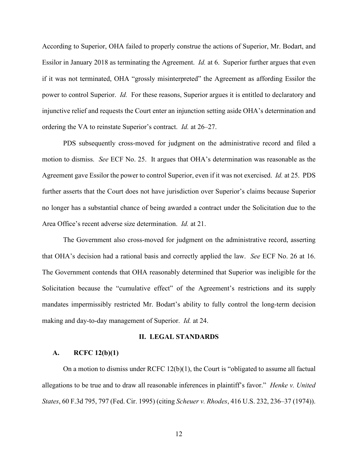According to Superior, OHA failed to properly construe the actions of Superior, Mr. Bodart, and Essilor in January 2018 as terminating the Agreement. *Id.* at 6. Superior further argues that even if it was not terminated, OHA "grossly misinterpreted" the Agreement as affording Essilor the power to control Superior. *Id.* For these reasons, Superior argues it is entitled to declaratory and injunctive relief and requests the Court enter an injunction setting aside OHA's determination and ordering the VA to reinstate Superior's contract. *Id.* at 26–27.

PDS subsequently cross-moved for judgment on the administrative record and filed a motion to dismiss. *See* ECF No. 25. It argues that OHA's determination was reasonable as the Agreement gave Essilor the power to control Superior, even if it was not exercised. *Id.* at 25. PDS further asserts that the Court does not have jurisdiction over Superior's claims because Superior no longer has a substantial chance of being awarded a contract under the Solicitation due to the Area Office's recent adverse size determination. *Id.* at 21.

The Government also cross-moved for judgment on the administrative record, asserting that OHA's decision had a rational basis and correctly applied the law. *See* ECF No. 26 at 16. The Government contends that OHA reasonably determined that Superior was ineligible for the Solicitation because the "cumulative effect" of the Agreement's restrictions and its supply mandates impermissibly restricted Mr. Bodart's ability to fully control the long-term decision making and day-to-day management of Superior. *Id.* at 24.

#### **II. LEGAL STANDARDS**

#### **A. RCFC 12(b)(1)**

On a motion to dismiss under  $RCFC 12(b)(1)$ , the Court is "obligated to assume all factual allegations to be true and to draw all reasonable inferences in plaintiff's favor." *Henke v. United States*, 60 F.3d 795, 797 (Fed. Cir. 1995) (citing *Scheuer v. Rhodes*, 416 U.S. 232, 236–37 (1974)).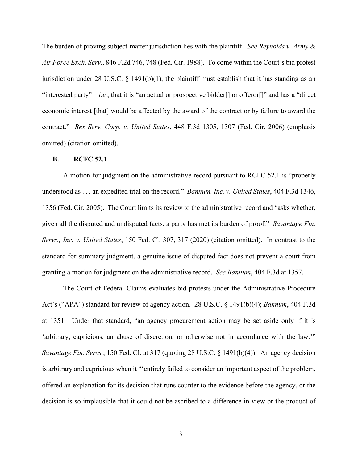The burden of proving subject-matter jurisdiction lies with the plaintiff. *See Reynolds v. Army & Air Force Exch. Serv.*, 846 F.2d 746, 748 (Fed. Cir. 1988). To come within the Court's bid protest jurisdiction under 28 U.S.C.  $\S$  1491(b)(1), the plaintiff must establish that it has standing as an "interested party"—*i.e.*, that it is "an actual or prospective bidder[] or offeror[]" and has a "direct economic interest [that] would be affected by the award of the contract or by failure to award the contract." *Rex Serv. Corp. v. United States*, 448 F.3d 1305, 1307 (Fed. Cir. 2006) (emphasis omitted) (citation omitted).

# **B. RCFC 52.1**

A motion for judgment on the administrative record pursuant to RCFC 52.1 is "properly understood as . . . an expedited trial on the record." *Bannum, Inc. v. United States*, 404 F.3d 1346, 1356 (Fed. Cir. 2005). The Court limits its review to the administrative record and "asks whether, given all the disputed and undisputed facts, a party has met its burden of proof." *Savantage Fin. Servs., Inc. v. United States*, 150 Fed. Cl. 307, 317 (2020) (citation omitted). In contrast to the standard for summary judgment, a genuine issue of disputed fact does not prevent a court from granting a motion for judgment on the administrative record. *See Bannum*, 404 F.3d at 1357.

The Court of Federal Claims evaluates bid protests under the Administrative Procedure Act's ("APA") standard for review of agency action. 28 U.S.C. § 1491(b)(4); *Bannum*, 404 F.3d at 1351. Under that standard, "an agency procurement action may be set aside only if it is 'arbitrary, capricious, an abuse of discretion, or otherwise not in accordance with the law.'" *Savantage Fin. Servs.*, 150 Fed. Cl. at 317 (quoting 28 U.S.C. § 1491(b)(4)). An agency decision is arbitrary and capricious when it "'entirely failed to consider an important aspect of the problem, offered an explanation for its decision that runs counter to the evidence before the agency, or the decision is so implausible that it could not be ascribed to a difference in view or the product of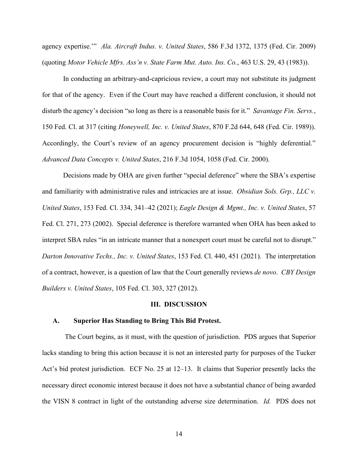agency expertise.'" *Ala. Aircraft Indus. v. United States*, 586 F.3d 1372, 1375 (Fed. Cir. 2009) (quoting *Motor Vehicle Mfrs. Ass'n v. State Farm Mut. Auto. Ins. Co.*, 463 U.S. 29, 43 (1983)).

In conducting an arbitrary-and-capricious review, a court may not substitute its judgment for that of the agency. Even if the Court may have reached a different conclusion, it should not disturb the agency's decision "so long as there is a reasonable basis for it." *Savantage Fin. Servs.*, 150 Fed. Cl. at 317 (citing *Honeywell, Inc. v. United States*, 870 F.2d 644, 648 (Fed. Cir. 1989)). Accordingly, the Court's review of an agency procurement decision is "highly deferential." *Advanced Data Concepts v. United States*, 216 F.3d 1054, 1058 (Fed. Cir. 2000).

Decisions made by OHA are given further "special deference" where the SBA's expertise and familiarity with administrative rules and intricacies are at issue. *Obsidian Sols. Grp., LLC v. United States*, 153 Fed. Cl. 334, 341–42 (2021); *Eagle Design & Mgmt., Inc. v. United States*, 57 Fed. Cl. 271, 273 (2002). Special deference is therefore warranted when OHA has been asked to interpret SBA rules "in an intricate manner that a nonexpert court must be careful not to disrupt." *Darton Innovative Techs., Inc. v. United States*, 153 Fed. Cl. 440, 451 (2021). The interpretation of a contract, however, is a question of law that the Court generally reviews *de novo*. *CBY Design Builders v. United States*, 105 Fed. Cl. 303, 327 (2012).

# **III. DISCUSSION**

#### **A. Superior Has Standing to Bring This Bid Protest.**

The Court begins, as it must, with the question of jurisdiction. PDS argues that Superior lacks standing to bring this action because it is not an interested party for purposes of the Tucker Act's bid protest jurisdiction. ECF No. 25 at 12–13. It claims that Superior presently lacks the necessary direct economic interest because it does not have a substantial chance of being awarded the VISN 8 contract in light of the outstanding adverse size determination. *Id.* PDS does not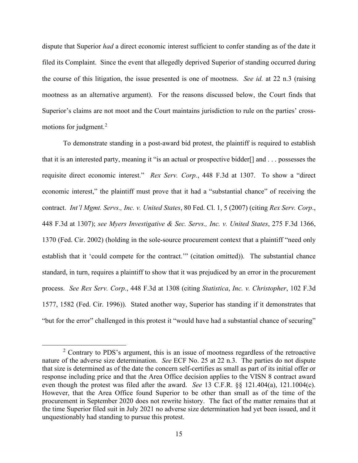dispute that Superior *had* a direct economic interest sufficient to confer standing as of the date it filed its Complaint. Since the event that allegedly deprived Superior of standing occurred during the course of this litigation, the issue presented is one of mootness. *See id.* at 22 n.3 (raising mootness as an alternative argument). For the reasons discussed below, the Court finds that Superior's claims are not moot and the Court maintains jurisdiction to rule on the parties' cross-motions for judgment.<sup>[2](#page-14-0)</sup>

To demonstrate standing in a post-award bid protest, the plaintiff is required to establish that it is an interested party, meaning it "is an actual or prospective bidder[] and . . . possesses the requisite direct economic interest." *Rex Serv. Corp.*, 448 F.3d at 1307. To show a "direct economic interest," the plaintiff must prove that it had a "substantial chance" of receiving the contract. *Int'l Mgmt. Servs., Inc. v. United States*, 80 Fed. Cl. 1, 5 (2007) (citing *Rex Serv. Corp*., 448 F.3d at 1307); *see Myers Investigative & Sec. Servs., Inc. v. United States*, 275 F.3d 1366, 1370 (Fed. Cir. 2002) (holding in the sole-source procurement context that a plaintiff "need only establish that it 'could compete for the contract.'" (citation omitted)). The substantial chance standard, in turn, requires a plaintiff to show that it was prejudiced by an error in the procurement process. *See Rex Serv. Corp.*, 448 F.3d at 1308 (citing *Statistica*, *Inc. v. Christopher*, 102 F.3d 1577, 1582 (Fed. Cir. 1996)). Stated another way, Superior has standing if it demonstrates that "but for the error" challenged in this protest it "would have had a substantial chance of securing"

<span id="page-14-0"></span><sup>&</sup>lt;sup>2</sup> Contrary to PDS's argument, this is an issue of mootness regardless of the retroactive nature of the adverse size determination. *See* ECF No. 25 at 22 n.3. The parties do not dispute that size is determined as of the date the concern self-certifies as small as part of its initial offer or response including price and that the Area Office decision applies to the VISN 8 contract award even though the protest was filed after the award. *See* 13 C.F.R. §§ 121.404(a), 121.1004(c). However, that the Area Office found Superior to be other than small as of the time of the procurement in September 2020 does not rewrite history. The fact of the matter remains that at the time Superior filed suit in July 2021 no adverse size determination had yet been issued, and it unquestionably had standing to pursue this protest.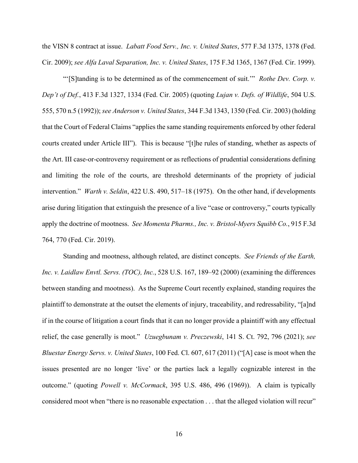the VISN 8 contract at issue. *Labatt Food Serv., Inc. v. United States*, 577 F.3d 1375, 1378 (Fed. Cir. 2009); *see Alfa Laval Separation, Inc. v. United States*, 175 F.3d 1365, 1367 (Fed. Cir. 1999).

"'[S]tanding is to be determined as of the commencement of suit.'" *Rothe Dev. Corp. v. Dep't of Def.*, 413 F.3d 1327, 1334 (Fed. Cir. 2005) (quoting *Lujan v. Defs. of Wildlife*, 504 U.S. 555, 570 n.5 (1992)); *see Anderson v. United States*, 344 F.3d 1343, 1350 (Fed. Cir. 2003) (holding that the Court of Federal Claims "applies the same standing requirements enforced by other federal courts created under Article III"). This is because "[t]he rules of standing, whether as aspects of the Art. III case-or-controversy requirement or as reflections of prudential considerations defining and limiting the role of the courts, are threshold determinants of the propriety of judicial intervention." *Warth v. Seldin*, 422 U.S. 490, 517–18 (1975). On the other hand, if developments arise during litigation that extinguish the presence of a live "case or controversy," courts typically apply the doctrine of mootness. *See Momenta Pharms., Inc. v. Bristol-Myers Squibb Co.*, 915 F.3d 764, 770 (Fed. Cir. 2019).

Standing and mootness, although related, are distinct concepts. *See Friends of the Earth, Inc. v. Laidlaw Envtl. Servs. (TOC), Inc.*, 528 U.S. 167, 189–92 (2000) (examining the differences between standing and mootness). As the Supreme Court recently explained, standing requires the plaintiff to demonstrate at the outset the elements of injury, traceability, and redressability, "[a]nd if in the course of litigation a court finds that it can no longer provide a plaintiff with any effectual relief, the case generally is moot." *Uzuegbunam v. Preczewski*, 141 S. Ct. 792, 796 (2021); *see Bluestar Energy Servs. v. United States*, 100 Fed. Cl. 607, 617 (2011) ("[A] case is moot when the issues presented are no longer 'live' or the parties lack a legally cognizable interest in the outcome." (quoting *Powell v. McCormack*, 395 U.S. 486, 496 (1969)). A claim is typically considered moot when "there is no reasonable expectation . . . that the alleged violation will recur"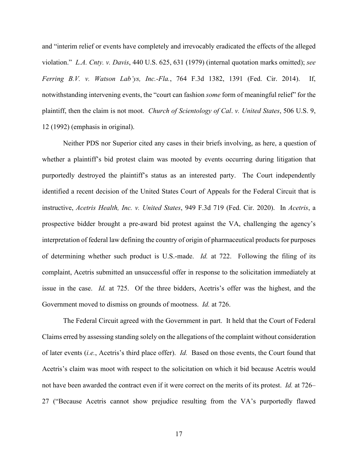and "interim relief or events have completely and irrevocably eradicated the effects of the alleged violation." *L.A. Cnty. v. Davis*, 440 U.S. 625, 631 (1979) (internal quotation marks omitted); *see Ferring B.V. v. Watson Lab'ys, Inc.-Fla.*, 764 F.3d 1382, 1391 (Fed. Cir. 2014). If, notwithstanding intervening events, the "court can fashion *some* form of meaningful relief" for the plaintiff, then the claim is not moot. *Church of Scientology of Cal*. *v. United States*, 506 U.S. 9, 12 (1992) (emphasis in original).

Neither PDS nor Superior cited any cases in their briefs involving, as here, a question of whether a plaintiff's bid protest claim was mooted by events occurring during litigation that purportedly destroyed the plaintiff's status as an interested party. The Court independently identified a recent decision of the United States Court of Appeals for the Federal Circuit that is instructive, *Acetris Health, Inc. v. United States*, 949 F.3d 719 (Fed. Cir. 2020). In *Acetris*, a prospective bidder brought a pre-award bid protest against the VA, challenging the agency's interpretation of federal law defining the country of origin of pharmaceutical products for purposes of determining whether such product is U.S.-made. *Id.* at 722. Following the filing of its complaint, Acetris submitted an unsuccessful offer in response to the solicitation immediately at issue in the case. *Id.* at 725. Of the three bidders, Acetris's offer was the highest, and the Government moved to dismiss on grounds of mootness. *Id.* at 726.

The Federal Circuit agreed with the Government in part. It held that the Court of Federal Claims erred by assessing standing solely on the allegations of the complaint without consideration of later events (*i.e.*, Acetris's third place offer). *Id.* Based on those events, the Court found that Acetris's claim was moot with respect to the solicitation on which it bid because Acetris would not have been awarded the contract even if it were correct on the merits of its protest. *Id.* at 726– 27 ("Because Acetris cannot show prejudice resulting from the VA's purportedly flawed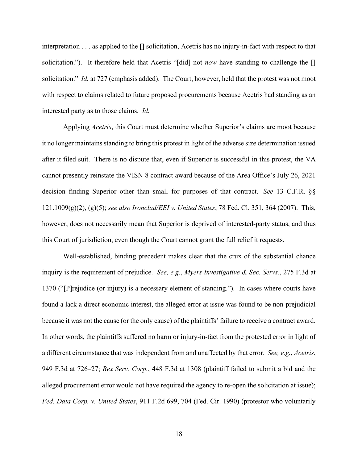interpretation . . . as applied to the [] solicitation, Acetris has no injury-in-fact with respect to that solicitation."). It therefore held that Acetris "[did] not *now* have standing to challenge the [] solicitation." *Id.* at 727 (emphasis added). The Court, however, held that the protest was not moot with respect to claims related to future proposed procurements because Acetris had standing as an interested party as to those claims. *Id.*

Applying *Acetris*, this Court must determine whether Superior's claims are moot because it no longer maintains standing to bring this protest in light of the adverse size determination issued after it filed suit. There is no dispute that, even if Superior is successful in this protest, the VA cannot presently reinstate the VISN 8 contract award because of the Area Office's July 26, 2021 decision finding Superior other than small for purposes of that contract. *See* 13 C.F.R. §§ 121.1009(g)(2), (g)(5); *see also Ironclad/EEI v. United States*, 78 Fed. Cl. 351, 364 (2007). This, however, does not necessarily mean that Superior is deprived of interested-party status, and thus this Court of jurisdiction, even though the Court cannot grant the full relief it requests.

Well-established, binding precedent makes clear that the crux of the substantial chance inquiry is the requirement of prejudice. *See, e.g.*, *Myers Investigative & Sec. Servs.*, 275 F.3d at 1370 ("[P]rejudice (or injury) is a necessary element of standing."). In cases where courts have found a lack a direct economic interest, the alleged error at issue was found to be non-prejudicial because it was not the cause (or the only cause) of the plaintiffs' failure to receive a contract award. In other words, the plaintiffs suffered no harm or injury-in-fact from the protested error in light of a different circumstance that was independent from and unaffected by that error. *See, e.g.*, *Acetris*, 949 F.3d at 726–27; *Rex Serv. Corp.*, 448 F.3d at 1308 (plaintiff failed to submit a bid and the alleged procurement error would not have required the agency to re-open the solicitation at issue); *Fed. Data Corp. v. United States*, 911 F.2d 699, 704 (Fed. Cir. 1990) (protestor who voluntarily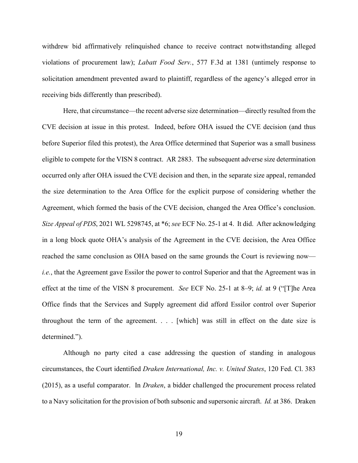withdrew bid affirmatively relinquished chance to receive contract notwithstanding alleged violations of procurement law); *Labatt Food Serv.*, 577 F.3d at 1381 (untimely response to solicitation amendment prevented award to plaintiff, regardless of the agency's alleged error in receiving bids differently than prescribed).

Here, that circumstance—the recent adverse size determination—directly resulted from the CVE decision at issue in this protest. Indeed, before OHA issued the CVE decision (and thus before Superior filed this protest), the Area Office determined that Superior was a small business eligible to compete for the VISN 8 contract. AR 2883. The subsequent adverse size determination occurred only after OHA issued the CVE decision and then, in the separate size appeal, remanded the size determination to the Area Office for the explicit purpose of considering whether the Agreement, which formed the basis of the CVE decision, changed the Area Office's conclusion. *Size Appeal of PDS*, 2021 WL 5298745, at \*6; *see* ECF No. 25-1 at 4. It did. After acknowledging in a long block quote OHA's analysis of the Agreement in the CVE decision, the Area Office reached the same conclusion as OHA based on the same grounds the Court is reviewing now *i.e.*, that the Agreement gave Essilor the power to control Superior and that the Agreement was in effect at the time of the VISN 8 procurement. *See* ECF No. 25-1 at 8–9; *id.* at 9 ("[T]he Area Office finds that the Services and Supply agreement did afford Essilor control over Superior throughout the term of the agreement. . . . [which] was still in effect on the date size is determined.").

Although no party cited a case addressing the question of standing in analogous circumstances, the Court identified *Draken International, Inc. v. United States*, 120 Fed. Cl. 383 (2015), as a useful comparator. In *Draken*, a bidder challenged the procurement process related to a Navy solicitation for the provision of both subsonic and supersonic aircraft. *Id.* at 386. Draken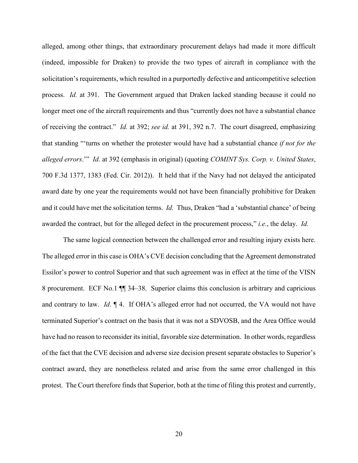alleged, among other things, that extraordinary procurement delays had made it more difficult (indeed, impossible for Draken) to provide the two types of aircraft in compliance with the solicitation's requirements, which resulted in a purportedly defective and anticompetitive selection process. *Id.* at 391. The Government argued that Draken lacked standing because it could no longer meet one of the aircraft requirements and thus "currently does not have a substantial chance of receiving the contract." *Id.* at 392; *see id.* at 391, 392 n.7. The court disagreed, emphasizing that standing "'turns on whether the protester would have had a substantial chance *if not for the alleged errors*.'" *Id.* at 392 (emphasis in original) (quoting *COMINT Sys. Corp. v. United States*, 700 F.3d 1377, 1383 (Fed. Cir. 2012)). It held that if the Navy had not delayed the anticipated award date by one year the requirements would not have been financially prohibitive for Draken and it could have met the solicitation terms. *Id.* Thus, Draken "had a 'substantial chance' of being awarded the contract, but for the alleged defect in the procurement process," *i.e.*, the delay. *Id.*

The same logical connection between the challenged error and resulting injury exists here. The alleged error in this case is OHA's CVE decision concluding that the Agreement demonstrated Essilor's power to control Superior and that such agreement was in effect at the time of the VISN 8 procurement. ECF No.1 ¶¶ 34–38. Superior claims this conclusion is arbitrary and capricious and contrary to law. *Id*. ¶ 4. If OHA's alleged error had not occurred, the VA would not have terminated Superior's contract on the basis that it was not a SDVOSB, and the Area Office would have had no reason to reconsider its initial, favorable size determination. In other words, regardless of the fact that the CVE decision and adverse size decision present separate obstacles to Superior's contract award, they are nonetheless related and arise from the same error challenged in this protest. The Court therefore finds that Superior, both at the time of filing this protest and currently,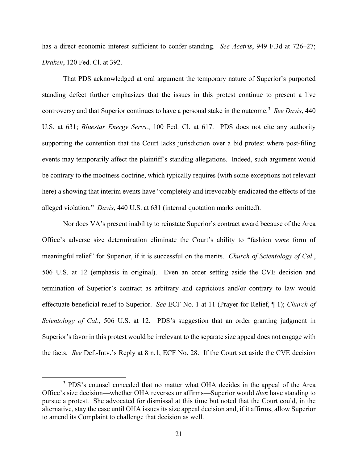has a direct economic interest sufficient to confer standing. *See Acetris*, 949 F.3d at 726–27; *Draken*, 120 Fed. Cl. at 392.

That PDS acknowledged at oral argument the temporary nature of Superior's purported standing defect further emphasizes that the issues in this protest continue to present a live controversy and that Superior continues to have a personal stake in the outcome.<sup>[3](#page-20-0)</sup> See Davis, 440 U.S. at 631; *Bluestar Energy Servs.*, 100 Fed. Cl. at 617. PDS does not cite any authority supporting the contention that the Court lacks jurisdiction over a bid protest where post-filing events may temporarily affect the plaintiff's standing allegations. Indeed, such argument would be contrary to the mootness doctrine, which typically requires (with some exceptions not relevant here) a showing that interim events have "completely and irrevocably eradicated the effects of the alleged violation." *Davis*, 440 U.S. at 631 (internal quotation marks omitted).

Nor does VA's present inability to reinstate Superior's contract award because of the Area Office's adverse size determination eliminate the Court's ability to "fashion *some* form of meaningful relief" for Superior, if it is successful on the merits. *Church of Scientology of Cal*., 506 U.S. at 12 (emphasis in original). Even an order setting aside the CVE decision and termination of Superior's contract as arbitrary and capricious and/or contrary to law would effectuate beneficial relief to Superior. *See* ECF No. 1 at 11 (Prayer for Relief, ¶ 1); *Church of Scientology of Cal*., 506 U.S. at 12. PDS's suggestion that an order granting judgment in Superior's favor in this protest would be irrelevant to the separate size appeal does not engage with the facts. *See* Def.-Intv.'s Reply at 8 n.1, ECF No. 28. If the Court set aside the CVE decision

<span id="page-20-0"></span><sup>&</sup>lt;sup>3</sup> PDS's counsel conceded that no matter what OHA decides in the appeal of the Area Office's size decision—whether OHA reverses or affirms—Superior would *then* have standing to pursue a protest. She advocated for dismissal at this time but noted that the Court could, in the alternative, stay the case until OHA issues its size appeal decision and, if it affirms, allow Superior to amend its Complaint to challenge that decision as well.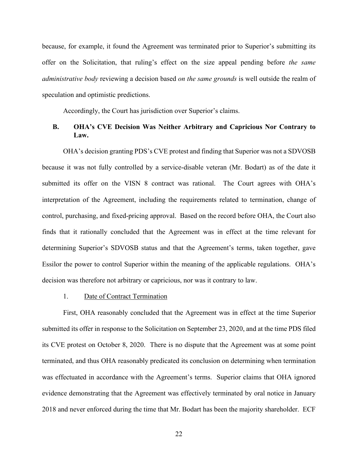because, for example, it found the Agreement was terminated prior to Superior's submitting its offer on the Solicitation, that ruling's effect on the size appeal pending before *the same administrative body* reviewing a decision based *on the same grounds* is well outside the realm of speculation and optimistic predictions.

Accordingly, the Court has jurisdiction over Superior's claims.

# **B. OHA's CVE Decision Was Neither Arbitrary and Capricious Nor Contrary to Law.**

OHA's decision granting PDS's CVE protest and finding that Superior was not a SDVOSB because it was not fully controlled by a service-disable veteran (Mr. Bodart) as of the date it submitted its offer on the VISN 8 contract was rational. The Court agrees with OHA's interpretation of the Agreement, including the requirements related to termination, change of control, purchasing, and fixed-pricing approval. Based on the record before OHA, the Court also finds that it rationally concluded that the Agreement was in effect at the time relevant for determining Superior's SDVOSB status and that the Agreement's terms, taken together, gave Essilor the power to control Superior within the meaning of the applicable regulations. OHA's decision was therefore not arbitrary or capricious, nor was it contrary to law.

# 1. Date of Contract Termination

First, OHA reasonably concluded that the Agreement was in effect at the time Superior submitted its offer in response to the Solicitation on September 23, 2020, and at the time PDS filed its CVE protest on October 8, 2020. There is no dispute that the Agreement was at some point terminated, and thus OHA reasonably predicated its conclusion on determining when termination was effectuated in accordance with the Agreement's terms. Superior claims that OHA ignored evidence demonstrating that the Agreement was effectively terminated by oral notice in January 2018 and never enforced during the time that Mr. Bodart has been the majority shareholder. ECF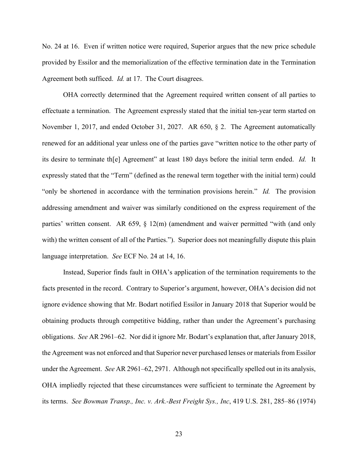No. 24 at 16. Even if written notice were required, Superior argues that the new price schedule provided by Essilor and the memorialization of the effective termination date in the Termination Agreement both sufficed. *Id.* at 17. The Court disagrees.

OHA correctly determined that the Agreement required written consent of all parties to effectuate a termination. The Agreement expressly stated that the initial ten-year term started on November 1, 2017, and ended October 31, 2027. AR 650, § 2. The Agreement automatically renewed for an additional year unless one of the parties gave "written notice to the other party of its desire to terminate th[e] Agreement" at least 180 days before the initial term ended. *Id.* It expressly stated that the "Term" (defined as the renewal term together with the initial term) could "only be shortened in accordance with the termination provisions herein." *Id.* The provision addressing amendment and waiver was similarly conditioned on the express requirement of the parties' written consent. AR 659, § 12(m) (amendment and waiver permitted "with (and only with) the written consent of all of the Parties."). Superior does not meaningfully dispute this plain language interpretation. *See* ECF No. 24 at 14, 16.

Instead, Superior finds fault in OHA's application of the termination requirements to the facts presented in the record. Contrary to Superior's argument, however, OHA's decision did not ignore evidence showing that Mr. Bodart notified Essilor in January 2018 that Superior would be obtaining products through competitive bidding, rather than under the Agreement's purchasing obligations. *See* AR 2961–62. Nor did it ignore Mr. Bodart's explanation that, after January 2018, the Agreement was not enforced and that Superior never purchased lenses or materials from Essilor under the Agreement. *See* AR 2961–62, 2971. Although notspecifically spelled out in its analysis, OHA impliedly rejected that these circumstances were sufficient to terminate the Agreement by its terms. *See Bowman Transp., Inc. v. Ark.-Best Freight Sys., Inc*, 419 U.S. 281, 285–86 (1974)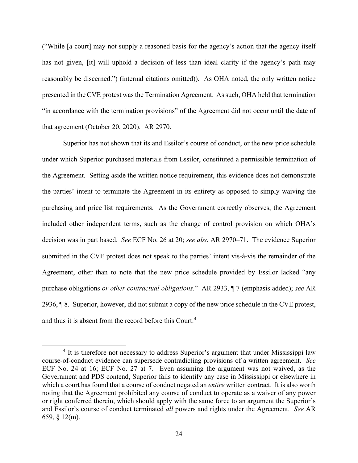("While [a court] may not supply a reasoned basis for the agency's action that the agency itself has not given, [it] will uphold a decision of less than ideal clarity if the agency's path may reasonably be discerned.") (internal citations omitted)). As OHA noted, the only written notice presented in the CVE protest wasthe Termination Agreement. Assuch, OHA held that termination "in accordance with the termination provisions" of the Agreement did not occur until the date of that agreement (October 20, 2020). AR 2970.

Superior has not shown that its and Essilor's course of conduct, or the new price schedule under which Superior purchased materials from Essilor, constituted a permissible termination of the Agreement. Setting aside the written notice requirement, this evidence does not demonstrate the parties' intent to terminate the Agreement in its entirety as opposed to simply waiving the purchasing and price list requirements. As the Government correctly observes, the Agreement included other independent terms, such as the change of control provision on which OHA's decision was in part based. *See* ECF No. 26 at 20; *see also* AR 2970–71. The evidence Superior submitted in the CVE protest does not speak to the parties' intent vis-à-vis the remainder of the Agreement, other than to note that the new price schedule provided by Essilor lacked "any purchase obligations *or other contractual obligations*." AR 2933, ¶ 7 (emphasis added); *see* AR 2936, ¶ 8. Superior, however, did not submit a copy of the new price schedule in the CVE protest, and thus it is absent from the record before this Court.<sup>[4](#page-23-0)</sup>

<span id="page-23-0"></span><sup>&</sup>lt;sup>4</sup> It is therefore not necessary to address Superior's argument that under Mississippi law course-of-conduct evidence can supersede contradicting provisions of a written agreement. *See* ECF No. 24 at 16; ECF No. 27 at 7. Even assuming the argument was not waived, as the Government and PDS contend, Superior fails to identify any case in Mississippi or elsewhere in which a court has found that a course of conduct negated an *entire* written contract. It is also worth noting that the Agreement prohibited any course of conduct to operate as a waiver of any power or right conferred therein, which should apply with the same force to an argument the Superior's and Essilor's course of conduct terminated *all* powers and rights under the Agreement. *See* AR 659, § 12(m).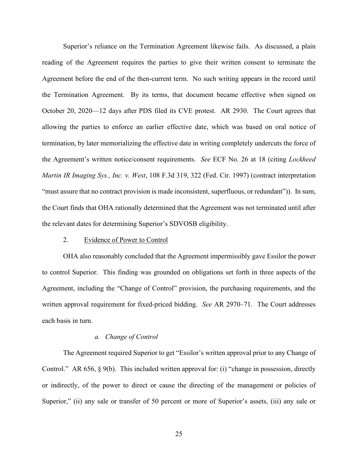Superior's reliance on the Termination Agreement likewise fails. As discussed, a plain reading of the Agreement requires the parties to give their written consent to terminate the Agreement before the end of the then-current term. No such writing appears in the record until the Termination Agreement. By its terms, that document became effective when signed on October 20, 2020––12 days after PDS filed its CVE protest. AR 2930. The Court agrees that allowing the parties to enforce an earlier effective date, which was based on oral notice of termination, by later memorializing the effective date in writing completely undercuts the force of the Agreement's written notice/consent requirements. *See* ECF No. 26 at 18 (citing *Lockheed Martin IR Imaging Sys., Inc. v. West*, 108 F.3d 319, 322 (Fed. Cir. 1997) (contract interpretation "must assure that no contract provision is made inconsistent, superfluous, or redundant")). In sum, the Court finds that OHA rationally determined that the Agreement was not terminated until after the relevant dates for determining Superior's SDVOSB eligibility.

# 2. Evidence of Power to Control

OHA also reasonably concluded that the Agreement impermissibly gave Essilor the power to control Superior. This finding was grounded on obligations set forth in three aspects of the Agreement, including the "Change of Control" provision, the purchasing requirements, and the written approval requirement for fixed-priced bidding. *See* AR 2970–71. The Court addresses each basis in turn.

#### *a. Change of Control*

The Agreement required Superior to get "Essilor's written approval prior to any Change of Control." AR 656, § 9(b). This included written approval for: (i) "change in possession, directly or indirectly, of the power to direct or cause the directing of the management or policies of Superior," (ii) any sale or transfer of 50 percent or more of Superior's assets, (iii) any sale or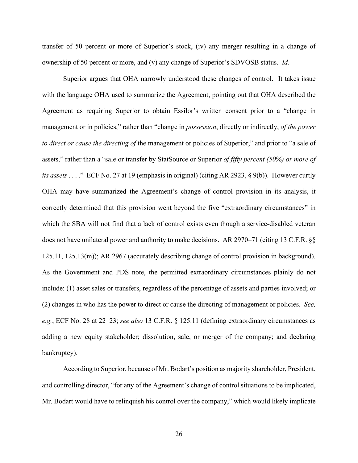transfer of 50 percent or more of Superior's stock, (iv) any merger resulting in a change of ownership of 50 percent or more, and (v) any change of Superior's SDVOSB status. *Id.*

Superior argues that OHA narrowly understood these changes of control. It takes issue with the language OHA used to summarize the Agreement, pointing out that OHA described the Agreement as requiring Superior to obtain Essilor's written consent prior to a "change in management or in policies," rather than "change in *possession*, directly or indirectly, *of the power to direct or cause the directing of* the management or policies of Superior," and prior to "a sale of assets," rather than a "sale or transfer by StatSource or Superior *of fifty percent (50%) or more of its assets* . . . ." ECF No. 27 at 19 (emphasis in original) (citing AR 2923, § 9(b)). However curtly OHA may have summarized the Agreement's change of control provision in its analysis, it correctly determined that this provision went beyond the five "extraordinary circumstances" in which the SBA will not find that a lack of control exists even though a service-disabled veteran does not have unilateral power and authority to make decisions. AR 2970–71 (citing 13 C.F.R. §§ 125.11, 125.13(m)); AR 2967 (accurately describing change of control provision in background). As the Government and PDS note, the permitted extraordinary circumstances plainly do not include: (1) asset sales or transfers, regardless of the percentage of assets and parties involved; or (2) changes in who has the power to direct or cause the directing of management or policies. *See, e.g.*, ECF No. 28 at 22–23; *see also* 13 C.F.R. § 125.11 (defining extraordinary circumstances as adding a new equity stakeholder; dissolution, sale, or merger of the company; and declaring bankruptcy).

According to Superior, because of Mr. Bodart's position as majority shareholder, President, and controlling director, "for any of the Agreement's change of control situations to be implicated, Mr. Bodart would have to relinquish his control over the company," which would likely implicate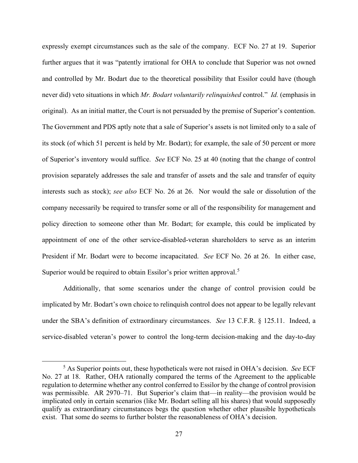expressly exempt circumstances such as the sale of the company. ECF No. 27 at 19. Superior further argues that it was "patently irrational for OHA to conclude that Superior was not owned and controlled by Mr. Bodart due to the theoretical possibility that Essilor could have (though never did) veto situations in which *Mr. Bodart voluntarily relinquished* control." *Id.* (emphasis in original). As an initial matter, the Court is not persuaded by the premise of Superior's contention. The Government and PDS aptly note that a sale of Superior's assets is not limited only to a sale of its stock (of which 51 percent is held by Mr. Bodart); for example, the sale of 50 percent or more of Superior's inventory would suffice. *See* ECF No. 25 at 40 (noting that the change of control provision separately addresses the sale and transfer of assets and the sale and transfer of equity interests such as stock); *see also* ECF No. 26 at 26. Nor would the sale or dissolution of the company necessarily be required to transfer some or all of the responsibility for management and policy direction to someone other than Mr. Bodart; for example, this could be implicated by appointment of one of the other service-disabled-veteran shareholders to serve as an interim President if Mr. Bodart were to become incapacitated. *See* ECF No. 26 at 26. In either case, Superior would be required to obtain Essilor's prior written approval.<sup>[5](#page-26-0)</sup>

Additionally, that some scenarios under the change of control provision could be implicated by Mr. Bodart's own choice to relinquish control does not appear to be legally relevant under the SBA's definition of extraordinary circumstances. *See* 13 C.F.R. § 125.11. Indeed, a service-disabled veteran's power to control the long-term decision-making and the day-to-day

<span id="page-26-0"></span><sup>5</sup> As Superior points out, these hypotheticals were not raised in OHA's decision. *See* ECF No. 27 at 18. Rather, OHA rationally compared the terms of the Agreement to the applicable regulation to determine whether any control conferred to Essilor by the change of control provision was permissible. AR 2970–71. But Superior's claim that—in reality—the provision would be implicated only in certain scenarios (like Mr. Bodart selling all his shares) that would supposedly qualify as extraordinary circumstances begs the question whether other plausible hypotheticals exist. That some do seems to further bolster the reasonableness of OHA's decision.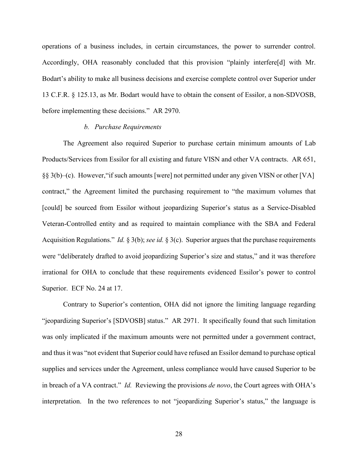operations of a business includes, in certain circumstances, the power to surrender control. Accordingly, OHA reasonably concluded that this provision "plainly interfere[d] with Mr. Bodart's ability to make all business decisions and exercise complete control over Superior under 13 C.F.R. § 125.13, as Mr. Bodart would have to obtain the consent of Essilor, a non-SDVOSB, before implementing these decisions." AR 2970.

# *b. Purchase Requirements*

The Agreement also required Superior to purchase certain minimum amounts of Lab Products/Services from Essilor for all existing and future VISN and other VA contracts. AR 651, §§ 3(b)–(c). However,"if such amounts [were] not permitted under any given VISN or other [VA] contract," the Agreement limited the purchasing requirement to "the maximum volumes that [could] be sourced from Essilor without jeopardizing Superior's status as a Service-Disabled Veteran-Controlled entity and as required to maintain compliance with the SBA and Federal Acquisition Regulations." *Id.* § 3(b); *see id.* § 3(c). Superior argues that the purchase requirements were "deliberately drafted to avoid jeopardizing Superior's size and status," and it was therefore irrational for OHA to conclude that these requirements evidenced Essilor's power to control Superior. ECF No. 24 at 17.

Contrary to Superior's contention, OHA did not ignore the limiting language regarding "jeopardizing Superior's [SDVOSB] status." AR 2971. It specifically found that such limitation was only implicated if the maximum amounts were not permitted under a government contract, and thus it was "not evident that Superior could have refused an Essilor demand to purchase optical supplies and services under the Agreement, unless compliance would have caused Superior to be in breach of a VA contract." *Id.* Reviewing the provisions *de novo*, the Court agrees with OHA's interpretation. In the two references to not "jeopardizing Superior's status," the language is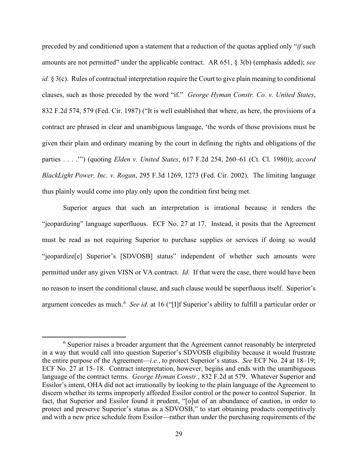preceded by and conditioned upon a statement that a reduction of the quotas applied only "*if* such amounts are not permitted" under the applicable contract. AR 651, § 3(b) (emphasis added); *see id.* § 3(c). Rules of contractual interpretation require the Court to give plain meaning to conditional clauses, such as those preceded by the word "if." *George Hyman Constr. Co. v. United States*, 832 F.2d 574, 579 (Fed. Cir. 1987) ("It is well established that where, as here, the provisions of a contract are phrased in clear and unambiguous language, 'the words of those provisions must be given their plain and ordinary meaning by the court in defining the rights and obligations of the parties . . . .'") (quoting *Elden v. United States*, 617 F.2d 254, 260–61 (Ct. Cl. 1980)); *accord BlackLight Power, Inc. v. Rogan*, 295 F.3d 1269, 1273 (Fed. Cir. 2002). The limiting language thus plainly would come into play only upon the condition first being met.

Superior argues that such an interpretation is irrational because it renders the "jeopardizing" language superfluous. ECF No. 27 at 17. Instead, it posits that the Agreement must be read as not requiring Superior to purchase supplies or services if doing so would "jeopardize[e] Superior's [SDVOSB] status" independent of whether such amounts were permitted under any given VISN or VA contract. *Id*. If that were the case, there would have been no reason to insert the conditional clause, and such clause would be superfluous itself. Superior's argument concedes as much.<sup>6</sup> See id. at 16 ("[I]f Superior's ability to fulfill a particular order or

<sup>&</sup>lt;sup>6</sup> Superior raises a broader argument that the Agreement cannot reasonably be interpreted in a way that would call into question Superior's SDVOSB eligibility because it would frustrate the entire purpose of the Agreement—*i.e.*, to protect Superior's status. *See* ECF No. 24 at 18–19; ECF No. 27 at 15–18. Contract interpretation, however, begins and ends with the unambiguous language of the contract terms. *George Hyman Constr.*, 832 F.2d at 579. Whatever Superior and Essilor's intent, OHA did not act irrationally by looking to the plain language of the Agreement to discern whether its terms improperly afforded Essilor control or the power to control Superior. In fact, that Superior and Essilor found it prudent, "[o]ut of an abundance of caution, in order to protect and preserve Superior's status as a SDVOSB," to start obtaining products competitively and with a new price schedule from Essilor—rather than under the purchasing requirements of the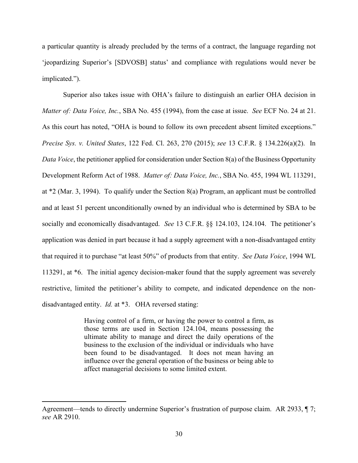a particular quantity is already precluded by the terms of a contract, the language regarding not 'jeopardizing Superior's [SDVOSB] status' and compliance with regulations would never be implicated.").

Superior also takes issue with OHA's failure to distinguish an earlier OHA decision in *Matter of: Data Voice, Inc.*, SBA No. 455 (1994), from the case at issue. *See* ECF No. 24 at 21. As this court has noted, "OHA is bound to follow its own precedent absent limited exceptions." *Precise Sys. v. United States*, 122 Fed. Cl. 263, 270 (2015); *see* 13 C.F.R. § 134.226(a)(2). In *Data Voice*, the petitioner applied for consideration under Section 8(a) of the Business Opportunity Development Reform Act of 1988. *Matter of: Data Voice, Inc.*, SBA No. 455, 1994 WL 113291, at \*2 (Mar. 3, 1994). To qualify under the Section 8(a) Program, an applicant must be controlled and at least 51 percent unconditionally owned by an individual who is determined by SBA to be socially and economically disadvantaged. *See* 13 C.F.R. §§ 124.103, 124.104. The petitioner's application was denied in part because it had a supply agreement with a non-disadvantaged entity that required it to purchase "at least 50%" of products from that entity. *See Data Voice*, 1994 WL 113291, at \*6. The initial agency decision-maker found that the supply agreement was severely restrictive, limited the petitioner's ability to compete, and indicated dependence on the nondisadvantaged entity. *Id.* at \*3. OHA reversed stating:

> Having control of a firm, or having the power to control a firm, as those terms are used in Section 124.104, means possessing the ultimate ability to manage and direct the daily operations of the business to the exclusion of the individual or individuals who have been found to be disadvantaged. It does not mean having an influence over the general operation of the business or being able to affect managerial decisions to some limited extent.

Agreement—tends to directly undermine Superior's frustration of purpose claim. AR 2933, ¶ 7; *see* AR 2910.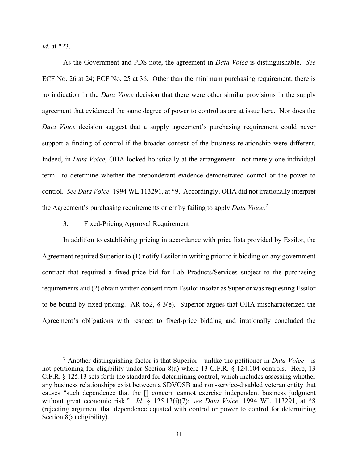*Id.* at \*23.

As the Government and PDS note, the agreement in *Data Voice* is distinguishable. *See* ECF No. 26 at 24; ECF No. 25 at 36. Other than the minimum purchasing requirement, there is no indication in the *Data Voice* decision that there were other similar provisions in the supply agreement that evidenced the same degree of power to control as are at issue here. Nor does the *Data Voice* decision suggest that a supply agreement's purchasing requirement could never support a finding of control if the broader context of the business relationship were different. Indeed, in *Data Voice*, OHA looked holistically at the arrangement—not merely one individual term—to determine whether the preponderant evidence demonstrated control or the power to control. *See Data Voice,* 1994 WL 113291, at \*9. Accordingly, OHA did not irrationally interpret the Agreement's purchasing requirements or err by failing to apply *Data Voice*. [7](#page-30-0)

# 3. Fixed-Pricing Approval Requirement

In addition to establishing pricing in accordance with price lists provided by Essilor, the Agreement required Superior to (1) notify Essilor in writing prior to it bidding on any government contract that required a fixed-price bid for Lab Products/Services subject to the purchasing requirements and (2) obtain written consent from Essilor insofar as Superior wasrequesting Essilor to be bound by fixed pricing. AR 652, § 3(e). Superior argues that OHA mischaracterized the Agreement's obligations with respect to fixed-price bidding and irrationally concluded the

<span id="page-30-0"></span><sup>7</sup> Another distinguishing factor is that Superior—unlike the petitioner in *Data Voice*—is not petitioning for eligibility under Section 8(a) where 13 C.F.R. § 124.104 controls. Here, 13 C.F.R. § 125.13 sets forth the standard for determining control, which includes assessing whether any business relationships exist between a SDVOSB and non-service-disabled veteran entity that causes "such dependence that the [] concern cannot exercise independent business judgment without great economic risk." *Id.* § 125.13(i)(7); *see Data Voice*, 1994 WL 113291, at \*8 (rejecting argument that dependence equated with control or power to control for determining Section 8(a) eligibility).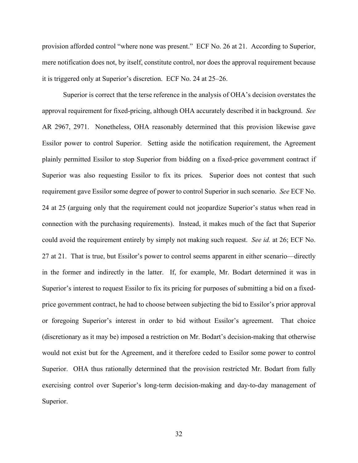provision afforded control "where none was present." ECF No. 26 at 21. According to Superior, mere notification does not, by itself, constitute control, nor does the approval requirement because it is triggered only at Superior's discretion. ECF No. 24 at 25–26.

Superior is correct that the terse reference in the analysis of OHA's decision overstates the approval requirement for fixed-pricing, although OHA accurately described it in background. *See* AR 2967, 2971. Nonetheless, OHA reasonably determined that this provision likewise gave Essilor power to control Superior. Setting aside the notification requirement, the Agreement plainly permitted Essilor to stop Superior from bidding on a fixed-price government contract if Superior was also requesting Essilor to fix its prices. Superior does not contest that such requirement gave Essilor some degree of power to control Superior in such scenario. *See* ECF No. 24 at 25 (arguing only that the requirement could not jeopardize Superior's status when read in connection with the purchasing requirements). Instead, it makes much of the fact that Superior could avoid the requirement entirely by simply not making such request. *See id.* at 26; ECF No. 27 at 21. That is true, but Essilor's power to control seems apparent in either scenario—directly in the former and indirectly in the latter. If, for example, Mr. Bodart determined it was in Superior's interest to request Essilor to fix its pricing for purposes of submitting a bid on a fixedprice government contract, he had to choose between subjecting the bid to Essilor's prior approval or foregoing Superior's interest in order to bid without Essilor's agreement. That choice (discretionary as it may be) imposed a restriction on Mr. Bodart's decision-making that otherwise would not exist but for the Agreement, and it therefore ceded to Essilor some power to control Superior. OHA thus rationally determined that the provision restricted Mr. Bodart from fully exercising control over Superior's long-term decision-making and day-to-day management of Superior.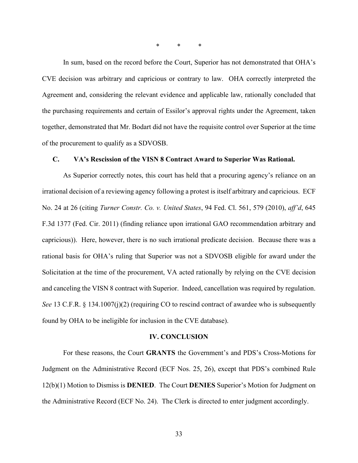\* \* \*

In sum, based on the record before the Court, Superior has not demonstrated that OHA's CVE decision was arbitrary and capricious or contrary to law. OHA correctly interpreted the Agreement and, considering the relevant evidence and applicable law, rationally concluded that the purchasing requirements and certain of Essilor's approval rights under the Agreement, taken together, demonstrated that Mr. Bodart did not have the requisite control over Superior at the time of the procurement to qualify as a SDVOSB.

# **C. VA's Rescission of the VISN 8 Contract Award to Superior Was Rational.**

As Superior correctly notes, this court has held that a procuring agency's reliance on an irrational decision of a reviewing agency following a protest is itself arbitrary and capricious. ECF No. 24 at 26 (citing *Turner Constr. Co. v. United States*, 94 Fed. Cl. 561, 579 (2010), *aff'd*, 645 F.3d 1377 (Fed. Cir. 2011) (finding reliance upon irrational GAO recommendation arbitrary and capricious)). Here, however, there is no such irrational predicate decision. Because there was a rational basis for OHA's ruling that Superior was not a SDVOSB eligible for award under the Solicitation at the time of the procurement, VA acted rationally by relying on the CVE decision and canceling the VISN 8 contract with Superior. Indeed, cancellation was required by regulation. *See* 13 C.F.R. § 134.1007(j)(2) (requiring CO to rescind contract of awardee who is subsequently found by OHA to be ineligible for inclusion in the CVE database).

#### **IV. CONCLUSION**

For these reasons, the Court **GRANTS** the Government's and PDS's Cross-Motions for Judgment on the Administrative Record (ECF Nos. 25, 26), except that PDS's combined Rule 12(b)(1) Motion to Dismiss is **DENIED**.The Court **DENIES** Superior's Motion for Judgment on the Administrative Record (ECF No. 24). The Clerk is directed to enter judgment accordingly.